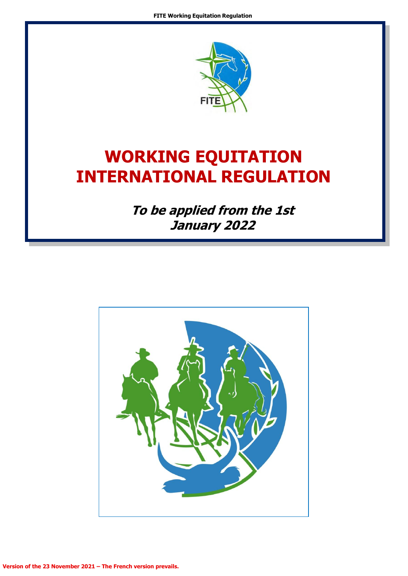

# **WORKING EQUITATION INTERNATIONAL REGULATION**

**To be applied from the 1st January 2022**

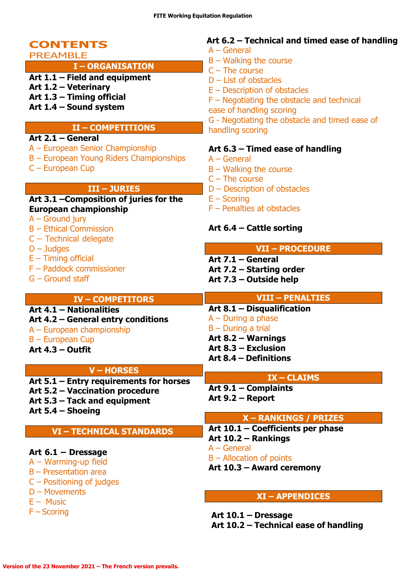### **CONTENTS** PREAMBLE

### **I – ORGANISATION**

- **Art 1.1 – Field and equipment**
- **Art 1.2 – Veterinary**
- **Art 1.3 – Timing official**
- **Art 1.4 – Sound system**

### **II – COMPETITIONS**

### **Art 2.1 – General**

- A European Senior Championship
- B European Young Riders Championships
- C European Cup

### **III – JURIES**

#### **Art 3.1 –Composition of juries for the European championship**

- A Ground jury
- B Ethical Commission
- C Technical delegate
- D Judges
- $E -$  Timing official
- F Paddock commissioner
- G Ground staff

### **Art 6.2 – Technical and timed ease of handling**

- A General
- B Walking the course
- $C$  The course
- D List of obstacles
- E Description of obstacles

F – Negotiating the obstacle and technical

ease of handling scoring

G - Negotiating the obstacle and timed ease of handling scoring

### **Art 6.3 – Timed ease of handling**

- A General
- B Walking the course
- $C$  The course
- D Description of obstacles
- E Scoring
- F Penalties at obstacles

### **Art 6.4 – Cattle sorting**

#### **VII – PROCEDURE**

**Art 7.1 – General**

A – During a phase B – During a trial **Art 8.2 – Warnings Art 8.3 – Exclusion Art 8.4 – Definitions**

**Art 7.2 – Starting order**

**Art 8.1 – Disqualification**

**Art 7.3 – Outside help**

#### **IV – COMPETITORS**

**Art 4.1 – Nationalities Art 4.2 – General entry conditions**

- A European championship
- B European Cup
- **Art 4.3 – Outfit**

### **V – HORSES**

**Art 5.1 – Entry requirements for horses**

- **Art 5.2 – Vaccination procedure Art 5.3 – Tack and equipment**
- 
- **Art 5.4 – Shoeing**

### **VI – TECHNICAL STANDARDS**

#### **Art 6.1 – Dressage**

- A Warming-up field
- B Presentation area
- C Positioning of judges
- D Movements
- $E -$  Music
- F Scoring

### **IX – CLAIMS**

**VIII – PENALTIES**

**Art 9.1 – Complaints Art 9.2 – Report**

#### **X – RANKINGS / PRIZES**

**Art 10.1 – Coefficients per phase Art 10.2 – Rankings** A – General B – Allocation of points **Art 10.3 – Award ceremony**

#### **XI – APPENDICES**

**Art 10.1 – Dressage Art 10.2 – Technical ease of handling**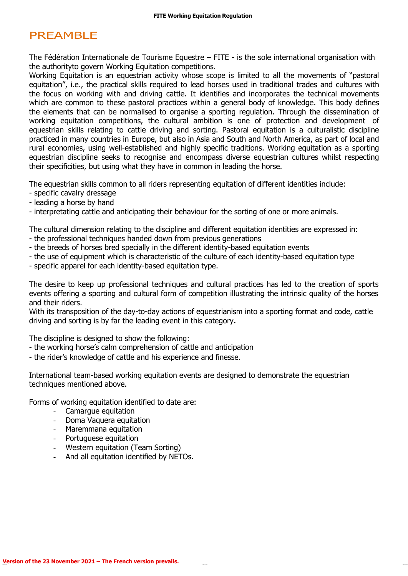### PREAMBLE

The Fédération Internationale de Tourisme Equestre – FITE - is the sole international organisation with the authorityto govern Working Equitation competitions.

Working Equitation is an equestrian activity whose scope is limited to all the movements of "pastoral equitation", i.e., the practical skills required to lead horses used in traditional trades and cultures with the focus on working with and driving cattle. It identifies and incorporates the technical movements which are common to these pastoral practices within a general body of knowledge. This body defines the elements that can be normalised to organise a sporting regulation. Through the dissemination of working equitation competitions, the cultural ambition is one of protection and development of equestrian skills relating to cattle driving and sorting. Pastoral equitation is a culturalistic discipline practiced in many countries in Europe, but also in Asia and South and North America, as part of local and rural economies, using well-established and highly specific traditions. Working equitation as a sporting equestrian discipline seeks to recognise and encompass diverse equestrian cultures whilst respecting their specificities, but using what they have in common in leading the horse.

The equestrian skills common to all riders representing equitation of different identities include:

- specific cavalry dressage
- leading a horse by hand
- interpretating cattle and anticipating their behaviour for the sorting of one or more animals.

The cultural dimension relating to the discipline and different equitation identities are expressed in: - the professional techniques handed down from previous generations

- the breeds of horses bred specially in the different identity-based equitation events
- the use of equipment which is characteristic of the culture of each identity-based equitation type
- specific apparel for each identity-based equitation type.

The desire to keep up professional techniques and cultural practices has led to the creation of sports events offering a sporting and cultural form of competition illustrating the intrinsic quality of the horses and their riders.

With its transposition of the day-to-day actions of equestrianism into a sporting format and code, cattle driving and sorting is by far the leading event in this category**.**

The discipline is designed to show the following:

- the working horse's calm comprehension of cattle and anticipation
- the rider's knowledge of cattle and his experience and finesse.

International team-based working equitation events are designed to demonstrate the equestrian techniques mentioned above.

Forms of working equitation identified to date are:

- Camargue equitation
- Doma Vaquera equitation
- Maremmana equitation
- Portuguese equitation
- Western equitation (Team Sorting)
- And all equitation identified by NETOs.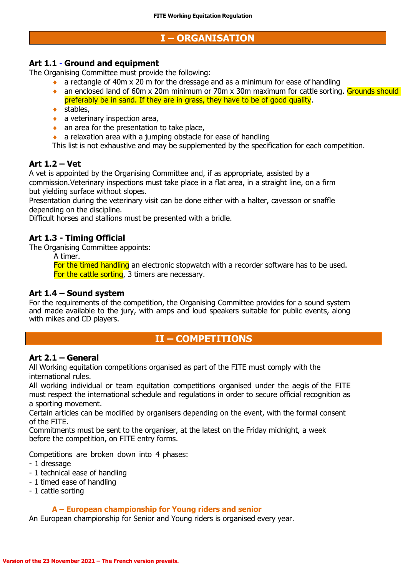### **I – ORGANISATION**

#### **Art 1.1** - **Ground and equipment**

The Organising Committee must provide the following:

- a rectangle of 40m x 20 m for the dressage and as a minimum for ease of handling
- an enclosed land of 60m x 20m minimum or 70m x 30m maximum for cattle sorting. Grounds should preferably be in sand. If they are in grass, they have to be of good quality.
- ◆ stables,
- $\bullet$  a veterinary inspection area,
- an area for the presentation to take place,
- $\bullet$  a relaxation area with a jumping obstacle for ease of handling
- This list is not exhaustive and may be supplemented by the specification for each competition.

#### **Art 1.2 – Vet**

A vet is appointed by the Organising Committee and, if as appropriate, assisted by a commission.Veterinary inspections must take place in a flat area, in a straight line, on a firm but yielding surface without slopes.

Presentation during the veterinary visit can be done either with a halter, cavesson or snaffle depending on the discipline.

Difficult horses and stallions must be presented with a bridle.

#### **Art 1.3 - Timing Official**

The Organising Committee appoints:

A timer.

For the timed handling an electronic stopwatch with a recorder software has to be used. For the cattle sorting, 3 timers are necessary.

#### **Art 1.4 – Sound system**

For the requirements of the competition, the Organising Committee provides for a sound system and made available to the jury, with amps and loud speakers suitable for public events, along with mikes and CD players.

### **II – COMPETITIONS**

#### **Art 2.1 – General**

All Working equitation competitions organised as part of the FITE must comply with the international rules.

All working individual or team equitation competitions organised under the aegis of the FITE must respect the international schedule and regulations in order to secure official recognition as a sporting movement.

Certain articles can be modified by organisers depending on the event, with the formal consent of the FITE.

Commitments must be sent to the organiser, at the latest on the Friday midnight, a week before the competition, on FITE entry forms.

Competitions are broken down into 4 phases:

- 1 dressage

- 1 technical ease of handling
- 1 timed ease of handling
- 1 cattle sorting

#### **A – European championship for Young riders and senior**

An European championship for Senior and Young riders is organised every year.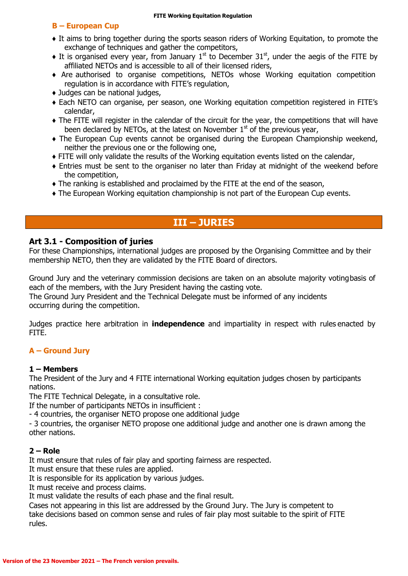#### **B – European Cup**

- ♦ It aims to bring together during the sports season riders of Working Equitation, to promote the exchange of techniques and gather the competitors,
- $\bullet$  It is organised every year, from January 1<sup>st</sup> to December 31<sup>st</sup>, under the aegis of the FITE by affiliated NETOs and is accessible to all of their licensed riders,
- ♦ Are authorised to organise competitions, NETOs whose Working equitation competition regulation is in accordance with FITE's regulation,
- ♦ Judges can be national judges,
- ♦ Each NETO can organise, per season, one Working equitation competition registered in FITE's calendar,
- ♦ The FITE will register in the calendar of the circuit for the year, the competitions that will have been declared by NETOs, at the latest on November  $1<sup>st</sup>$  of the previous year,
- ♦ The European Cup events cannot be organised during the European Championship weekend, neither the previous one or the following one,
- ♦ FITE will only validate the results of the Working equitation events listed on the calendar,
- ♦ Entries must be sent to the organiser no later than Friday at midnight of the weekend before the competition,
- ♦ The ranking is established and proclaimed by the FITE at the end of the season,
- ♦ The European Working equitation championship is not part of the European Cup events.

### **III – JURIES**

#### **Art 3.1 - Composition of juries**

For these Championships, international judges are proposed by the Organising Committee and by their membership NETO, then they are validated by the FITE Board of directors.

Ground Jury and the veterinary commission decisions are taken on an absolute majority votingbasis of each of the members, with the Jury President having the casting vote.

The Ground Jury President and the Technical Delegate must be informed of any incidents occurring during the competition.

Judges practice here arbitration in **independence** and impartiality in respect with rules enacted by FITE.

#### **A – Ground Jury**

#### **1 – Members**

The President of the Jury and 4 FITE international Working equitation judges chosen by participants nations.

The FITE Technical Delegate, in a consultative role.

If the number of participants NETOs in insufficient :

- 4 countries, the organiser NETO propose one additional judge

- 3 countries, the organiser NETO propose one additional judge and another one is drawn among the other nations.

#### **2 – Role**

It must ensure that rules of fair play and sporting fairness are respected.

It must ensure that these rules are applied.

It is responsible for its application by various judges.

It must receive and process claims.

It must validate the results of each phase and the final result.

Cases not appearing in this list are addressed by the Ground Jury. The Jury is competent to take decisions based on common sense and rules of fair play most suitable to the spirit of FITE rules.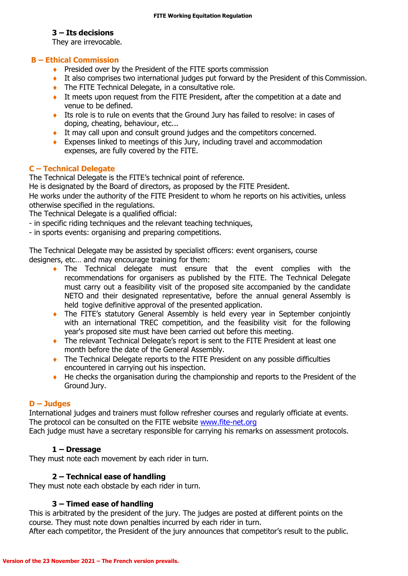#### **3 – Its decisions**

They are irrevocable.

#### **B – Ethical Commission**

- ◆ Presided over by the President of the FITE sports commission
- It also comprises two international judges put forward by the President of this Commission.
- The FITE Technical Delegate, in a consultative role.
- It meets upon request from the FITE President, after the competition at a date and venue to be defined.
- Its role is to rule on events that the Ground Jury has failed to resolve: in cases of doping, cheating, behaviour, etc...
- It may call upon and consult ground judges and the competitors concerned.
- Expenses linked to meetings of this Jury, including travel and accommodation expenses, are fully covered by the FITE.

#### **C – Technical Delegate**

The Technical Delegate is the FITE's technical point of reference.

He is designated by the Board of directors, as proposed by the FITE President.

He works under the authority of the FITE President to whom he reports on his activities, unless otherwise specified in the regulations.

The Technical Delegate is a qualified official:

- in specific riding techniques and the relevant teaching techniques,
- in sports events: organising and preparing competitions.

The Technical Delegate may be assisted by specialist officers: event organisers, course designers, etc… and may encourage training for them:

- The Technical delegate must ensure that the event complies with the recommendations for organisers as published by the FITE. The Technical Delegate must carry out a feasibility visit of the proposed site accompanied by the candidate NETO and their designated representative, before the annual general Assembly is held togive definitive approval of the presented application.
- The FITE's statutory General Assembly is held every year in September conjointly with an international TREC competition, and the feasibility visit for the following year's proposed site must have been carried out before this meeting.
- The relevant Technical Delegate's report is sent to the FITE President at least one month before the date of the General Assembly.
- The Technical Delegate reports to the FITE President on any possible difficulties encountered in carrying out his inspection.
- ◆ He checks the organisation during the championship and reports to the President of the Ground Jury.

#### **D – Judges**

International judges and trainers must follow refresher courses and regularly officiate at events. The protocol can be consulted on the FITE website [www.fite-net.org](http://www.fite-net.org/)

Each judge must have a secretary responsible for carrying his remarks on assessment protocols.

#### **1 – Dressage**

They must note each movement by each rider in turn.

#### **2 – Technical ease of handling**

They must note each obstacle by each rider in turn.

#### **3 – Timed ease of handling**

This is arbitrated by the president of the jury. The judges are posted at different points on the course. They must note down penalties incurred by each rider in turn.

After each competitor, the President of the jury announces that competitor's result to the public.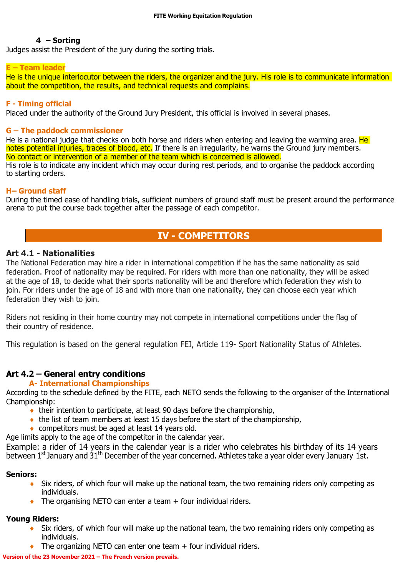#### **4 – Sorting**

Judges assist the President of the jury during the sorting trials.

#### **E – Team leader**

He is the unique interlocutor between the riders, the organizer and the jury. His role is to communicate information about the competition, the results, and technical requests and complains.

#### **F - Timing official**

Placed under the authority of the Ground Jury President, this official is involved in several phases.

#### **G – The paddock commissioner**

He is a national judge that checks on both horse and riders when entering and leaving the warming area. He notes potential injuries, traces of blood, etc. If there is an irregularity, he warns the Ground jury members. No contact or intervention of a member of the team which is concerned is allowed. His role is to indicate any incident which may occur during rest periods, and to organise the paddock according to starting orders.

#### **H– Ground staff**

During the timed ease of handling trials, sufficient numbers of ground staff must be present around the performance arena to put the course back together after the passage of each competitor.

### **IV - COMPETITORS**

#### **Art 4.1 - Nationalities**

The National Federation may hire a rider in international competition if he has the same nationality as said federation. Proof of nationality may be required. For riders with more than one nationality, they will be asked at the age of 18, to decide what their sports nationality will be and therefore which federation they wish to join. For riders under the age of 18 and with more than one nationality, they can choose each year which federation they wish to join.

Riders not residing in their home country may not compete in international competitions under the flag of their country of residence.

This regulation is based on the general regulation FEI, Article 119- Sport Nationality Status of Athletes.

### **Art 4.2 – General entry conditions**

#### **A- International Championships**

According to the schedule defined by the FITE, each NETO sends the following to the organiser of the International Championship:

- their intention to participate, at least 90 days before the championship,
- $\bullet$  the list of team members at least 15 days before the start of the championship,
- ◆ competitors must be aged at least 14 years old.

Age limits apply to the age of the competitor in the calendar year.

Example: a rider of 14 years in the calendar year is a rider who celebrates his birthday of its 14 years between 1<sup>st</sup> January and  $31<sup>th</sup>$  December of the year concerned. Athletes take a year older every January 1st.

#### **Seniors:**

- Six riders, of which four will make up the national team, the two remaining riders only competing as individuals.
- $\bullet$  The organising NETO can enter a team  $+$  four individual riders.

#### **Young Riders:**

- Six riders, of which four will make up the national team, the two remaining riders only competing as individuals.
- The organizing NETO can enter one team + four individual riders.

#### **Version of the 23 November 2021 – The French version prevails.**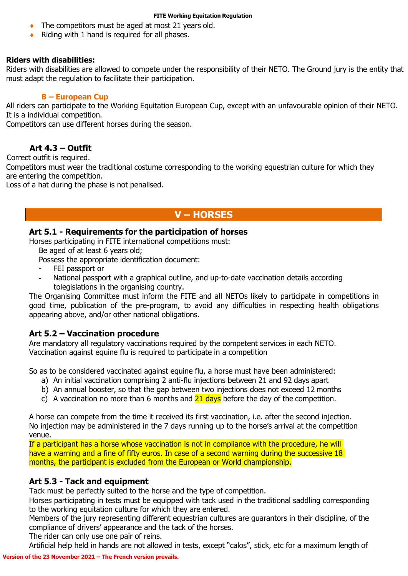- The competitors must be aged at most 21 years old.
- Riding with 1 hand is required for all phases.

#### **Riders with disabilities:**

Riders with disabilities are allowed to compete under the responsibility of their NETO. The Ground jury is the entity that must adapt the regulation to facilitate their participation.

#### **B – European Cup**

All riders can participate to the Working Equitation European Cup, except with an unfavourable opinion of their NETO. It is a individual competition.

Competitors can use different horses during the season.

### **Art 4.3 – Outfit**

Correct outfit is required.

Competitors must wear the traditional costume corresponding to the working equestrian culture for which they are entering the competition.

Loss of a hat during the phase is not penalised.

### **V – HORSES**

#### **Art 5.1 - Requirements for the participation of horses**

Horses participating in FITE international competitions must:

Be aged of at least 6 years old;

Possess the appropriate identification document:

- FEI passport or
- National passport with a graphical outline, and up-to-date vaccination details according tolegislations in the organising country.

The Organising Committee must inform the FITE and all NETOs likely to participate in competitions in good time, publication of the pre-program, to avoid any difficulties in respecting health obligations appearing above, and/or other national obligations.

#### **Art 5.2 – Vaccination procedure**

Are mandatory all regulatory vaccinations required by the competent services in each NETO. Vaccination against equine flu is required to participate in a competition

So as to be considered vaccinated against equine flu, a horse must have been administered:

- a) An initial vaccination comprising 2 anti-flu injections between 21 and 92 days apart
- b) An annual booster, so that the gap between two injections does not exceed 12 months
- c) A vaccination no more than 6 months and  $21$  days before the day of the competition.

A horse can compete from the time it received its first vaccination, i.e. after the second injection. No injection may be administered in the 7 days running up to the horse's arrival at the competition venue.

If a participant has a horse whose vaccination is not in compliance with the procedure, he will have a warning and a fine of fifty euros. In case of a second warning during the successive 18 months, the participant is excluded from the European or World championship.

#### **Art 5.3 - Tack and equipment**

Tack must be perfectly suited to the horse and the type of competition.

Horses participating in tests must be equipped with tack used in the traditional saddling corresponding to the working equitation culture for which they are entered.

Members of the jury representing different equestrian cultures are guarantors in their discipline, of the compliance of drivers' appearance and the tack of the horses.

The rider can only use one pair of reins.

Artificial help held in hands are not allowed in tests, except "calos", stick, etc for a maximum length of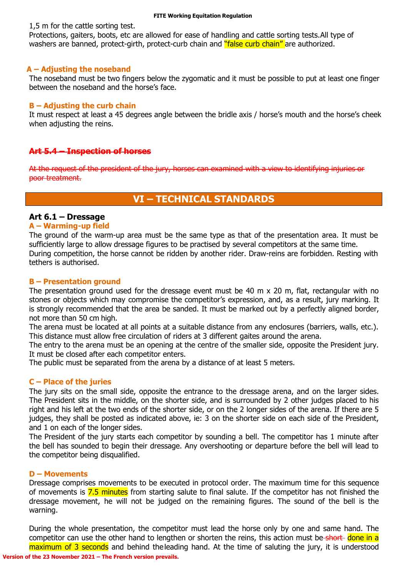1,5 m for the cattle sorting test.

Protections, gaiters, boots, etc are allowed for ease of handling and cattle sorting tests.All type of washers are banned, protect-girth, protect-curb chain and "false curb chain" are authorized.

#### **A – Adjusting the noseband**

The noseband must be two fingers below the zygomatic and it must be possible to put at least one finger between the noseband and the horse's face.

#### **B – Adjusting the curb chain**

It must respect at least a 45 degrees angle between the bridle axis / horse's mouth and the horse's cheek when adjusting the reins.

#### **Art 5.4 – Inspection of horses**

At the request of the president of the jury, horses can examined with a view to identifying injuries or poor treatment.

### **VI – TECHNICAL STANDARDS**

#### **Art 6.1 – Dressage**

#### **A – Warming-up field**

The ground of the warm-up area must be the same type as that of the presentation area. It must be sufficiently large to allow dressage figures to be practised by several competitors at the same time. During competition, the horse cannot be ridden by another rider. Draw-reins are forbidden. Resting with tethers is authorised.

#### **B – Presentation ground**

The presentation ground used for the dressage event must be 40 m x 20 m, flat, rectangular with no stones or objects which may compromise the competitor's expression, and, as a result, jury marking. It is strongly recommended that the area be sanded. It must be marked out by a perfectly aligned border, not more than 50 cm high.

The arena must be located at all points at a suitable distance from any enclosures (barriers, walls, etc.). This distance must allow free circulation of riders at 3 different gaites around the arena.

The entry to the arena must be an opening at the centre of the smaller side, opposite the President jury. It must be closed after each competitor enters.

The public must be separated from the arena by a distance of at least 5 meters.

#### **C – Place of the juries**

The jury sits on the small side, opposite the entrance to the dressage arena, and on the larger sides. The President sits in the middle, on the shorter side, and is surrounded by 2 other judges placed to his right and his left at the two ends of the shorter side, or on the 2 longer sides of the arena. If there are 5 judges, they shall be posted as indicated above, ie: 3 on the shorter side on each side of the President, and 1 on each of the longer sides.

The President of the jury starts each competitor by sounding a bell. The competitor has 1 minute after the bell has sounded to begin their dressage. Any overshooting or departure before the bell will lead to the competitor being disqualified.

#### **D – Movements**

Dressage comprises movements to be executed in protocol order. The maximum time for this sequence of movements is 7.5 minutes from starting salute to final salute. If the competitor has not finished the dressage movement, he will not be judged on the remaining figures. The sound of the bell is the warning.

**Version of the 23 November 2021 – The French version prevails.** During the whole presentation, the competitor must lead the horse only by one and same hand. The competitor can use the other hand to lengthen or shorten the reins, this action must be short done in a maximum of 3 seconds and behind the leading hand. At the time of saluting the jury, it is understood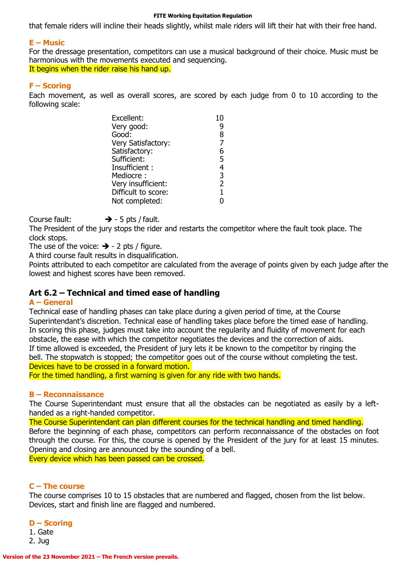that female riders will incline their heads slightly, whilst male riders will lift their hat with their free hand.

#### **E – Music**

For the dressage presentation, competitors can use a musical background of their choice. Music must be harmonious with the movements executed and sequencing. It begins when the rider raise his hand up.

#### **F – Scoring**

Each movement, as well as overall scores, are scored by each judge from 0 to 10 according to the following scale:

| Excellent:          | 10             |
|---------------------|----------------|
| Very good:          | q              |
| Good:               | 8              |
| Very Satisfactory:  | $\overline{7}$ |
| Satisfactory:       | 6              |
| Sufficient:         | 5              |
| Insufficient:       | 4              |
| Mediocre:           | 3              |
| Very insufficient:  | $\overline{2}$ |
| Difficult to score: | $\mathbf{1}$   |
| Not completed:      |                |

Course fault:  $\rightarrow$  - 5 pts / fault.

The President of the jury stops the rider and restarts the competitor where the fault took place. The clock stops.

The use of the voice:  $\rightarrow$  - 2 pts / figure.

A third course fault results in disqualification.

Points attributed to each competitor are calculated from the average of points given by each judge after the lowest and highest scores have been removed.

#### **Art 6.2 – Technical and timed ease of handling**

#### **A – General**

Technical ease of handling phases can take place during a given period of time, at the Course Superintendant's discretion. Technical ease of handling takes place before the timed ease of handling. In scoring this phase, judges must take into account the regularity and fluidity of movement for each obstacle, the ease with which the competitor negotiates the devices and the correction of aids. If time allowed is exceeded, the President of jury lets it be known to the competitor by ringing the bell. The stopwatch is stopped; the competitor goes out of the course without completing the test. Devices have to be crossed in a forward motion.

For the timed handling, a first warning is given for any ride with two hands.

#### **B – Reconnaissance**

The Course Superintendant must ensure that all the obstacles can be negotiated as easily by a lefthanded as a right-handed competitor.

The Course Superintendant can plan different courses for the technical handling and timed handling. Before the beginning of each phase, competitors can perform reconnaissance of the obstacles on foot through the course. For this, the course is opened by the President of the jury for at least 15 minutes. Opening and closing are announced by the sounding of a bell. Every device which has been passed can be crossed.

**C – The course**

The course comprises 10 to 15 obstacles that are numbered and flagged, chosen from the list below. Devices, start and finish line are flagged and numbered.

#### **D – Scoring**

1. Gate 2. Jug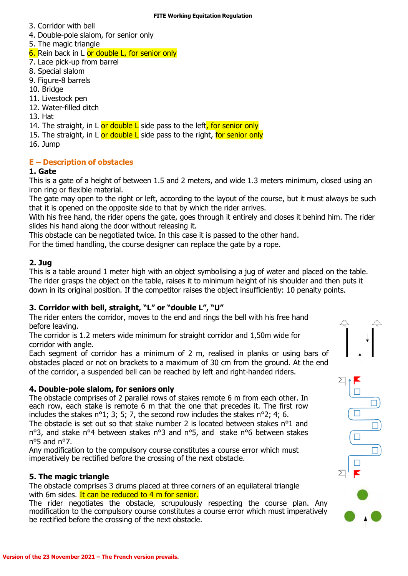- 3. Corridor with bell
- 4. Double-pole slalom, for senior only
- 5. The magic triangle

6. Rein back in L or double L, for senior only

- 7. Lace pick-up from barrel
- 8. Special slalom
- 9. Figure-8 barrels
- 10. Bridge
- 11. Livestock pen
- 12. Water-filled ditch
- 13. Hat

14. The straight, in L or double L side pass to the left, for senior only

- 15. The straight, in L or double L side pass to the right, for senior only
- 16. Jump

### **E – Description of obstacles**

### **1. Gate**

This is a gate of a height of between 1.5 and 2 meters, and wide 1.3 meters minimum, closed using an iron ring or flexible material.

The gate may open to the right or left, according to the layout of the course, but it must always be such that it is opened on the opposite side to that by which the rider arrives.

With his free hand, the rider opens the gate, goes through it entirely and closes it behind him. The rider slides his hand along the door without releasing it.

This obstacle can be negotiated twice. In this case it is passed to the other hand.

For the timed handling, the course designer can replace the gate by a rope.

#### **2. Jug**

This is a table around 1 meter high with an object symbolising a jug of water and placed on the table. The rider grasps the object on the table, raises it to minimum height of his shoulder and then puts it down in its original position. If the competitor raises the object insufficiently: 10 penalty points.

#### **3. Corridor with bell, straight, "L" or "double L", "U"**

The rider enters the corridor, moves to the end and rings the bell with his free hand before leaving.

The corridor is 1.2 meters wide minimum for straight corridor and 1,50m wide for corridor with angle.

Each segment of corridor has a minimum of 2 m, realised in planks or using bars of obstacles placed or not on brackets to a maximum of 30 cm from the ground. At the end of the corridor, a suspended bell can be reached by left and right-handed riders.

#### **4. Double-pole slalom, for seniors only**

The obstacle comprises of 2 parallel rows of stakes remote 6 m from each other. In each row, each stake is remote 6 m that the one that precedes it. The first row includes the stakes n°1; 3; 5; 7, the second row includes the stakes n°2; 4; 6. The obstacle is set out so that stake number 2 is located between stakes n°1 and

n°3, and stake n°4 between stakes n°3 and n°5, and stake n°6 between stakes n°5 and n°7.

Any modification to the compulsory course constitutes a course error which must imperatively be rectified before the crossing of the next obstacle.

### **5. The magic triangle**

The obstacle comprises 3 drums placed at three corners of an equilateral triangle with 6m sides. It can be reduced to 4 m for senior.

The rider negotiates the obstacle, scrupulously respecting the course plan. Any modification to the compulsory course constitutes a course error which must imperatively be rectified before the crossing of the next obstacle.

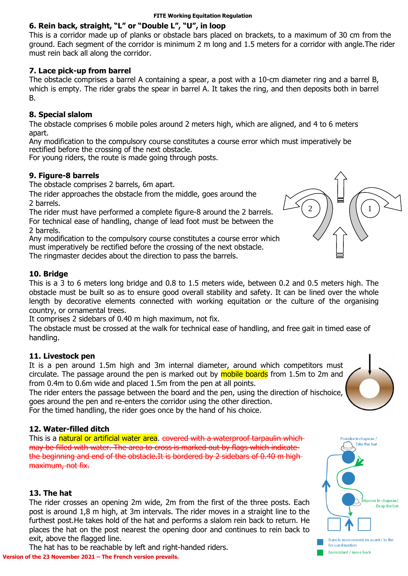### **6. Rein back, straight, "L" or "Double L", "U", in loop**

This is a corridor made up of planks or obstacle bars placed on brackets, to a maximum of 30 cm from the ground. Each segment of the corridor is minimum 2 m long and 1.5 meters for a corridor with angle.The rider must rein back all along the corridor.

#### **7. Lace pick-up from barrel**

The obstacle comprises a barrel A containing a spear, a post with a 10-cm diameter ring and a barrel B, which is empty. The rider grabs the spear in barrel A. It takes the ring, and then deposits both in barrel B.

#### **8. Special slalom**

The obstacle comprises 6 mobile poles around 2 meters high, which are aligned, and 4 to 6 meters apart.

Any modification to the compulsory course constitutes a course error which must imperatively be rectified before the crossing of the next obstacle.

For young riders, the route is made going through posts.

#### **9. Figure-8 barrels**

The obstacle comprises 2 barrels, 6m apart.

The rider approaches the obstacle from the middle, goes around the 2 barrels.

The rider must have performed a complete figure-8 around the 2 barrels. For technical ease of handling, change of lead foot must be between the 2 barrels.

Any modification to the compulsory course constitutes a course error which must imperatively be rectified before the crossing of the next obstacle. The ringmaster decides about the direction to pass the barrels.

#### **10. Bridge**

This is a 3 to 6 meters long bridge and 0.8 to 1.5 meters wide, between 0.2 and 0.5 meters high. The obstacle must be built so as to ensure good overall stability and safety. It can be lined over the whole length by decorative elements connected with working equitation or the culture of the organising country, or ornamental trees.

It comprises 2 sidebars of 0.40 m high maximum, not fix.

The obstacle must be crossed at the walk for technical ease of handling, and free gait in timed ease of handling.

#### **11. Livestock pen**

It is a pen around 1.5m high and 3m internal diameter, around which competitors must circulate. The passage around the pen is marked out by **mobile boards** from 1.5m to 2m and from 0.4m to 0.6m wide and placed 1.5m from the pen at all points.

The rider enters the passage between the board and the pen, using the direction of hischoice, goes around the pen and re-enters the corridor using the other direction.

For the timed handling, the rider goes once by the hand of his choice.

#### **12. Water-filled ditch**

This is a natural or artificial water area. covered with a waterproof tarpaulin which may be filled with water. The area to cross is marked out by flags which indicate the beginning and end of the obstacle.It is bordered by 2 sidebars of 0.40 m high maximum, not fix.

#### **13. The hat**

The rider crosses an opening 2m wide, 2m from the first of the three posts. Each post is around 1,8 m high, at 3m intervals. The rider moves in a straight line to the furthest post.He takes hold of the hat and performs a slalom rein back to return. He places the hat on the post nearest the opening door and continues to rein back to exit, above the flagged line.

**Version of the 23 November 2021 – The French version prevails.** The hat has to be reachable by left and right-handed riders.





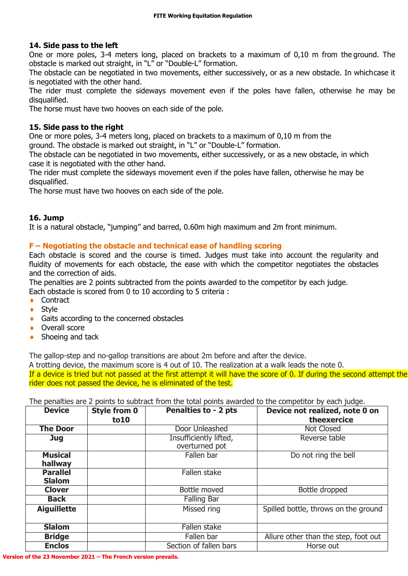#### **14. Side pass to the left**

One or more poles, 3-4 meters long, placed on brackets to a maximum of 0,10 m from the ground. The obstacle is marked out straight, in "L" or "Double-L" formation.

The obstacle can be negotiated in two movements, either successively, or as a new obstacle. In whichcase it is negotiated with the other hand.

The rider must complete the sideways movement even if the poles have fallen, otherwise he may be disqualified.

The horse must have two hooves on each side of the pole.

#### **15. Side pass to the right**

One or more poles, 3-4 meters long, placed on brackets to a maximum of 0,10 m from the

ground. The obstacle is marked out straight, in "L" or "Double-L" formation.

The obstacle can be negotiated in two movements, either successively, or as a new obstacle, in which case it is negotiated with the other hand.

The rider must complete the sideways movement even if the poles have fallen, otherwise he may be disqualified.

The horse must have two hooves on each side of the pole.

#### **16. Jump**

It is a natural obstacle, "jumping" and barred, 0.60m high maximum and 2m front minimum.

#### **F – Negotiating the obstacle and technical ease of handling scoring**

Each obstacle is scored and the course is timed. Judges must take into account the regularity and fluidity of movements for each obstacle, the ease with which the competitor negotiates the obstacles and the correction of aids.

The penalties are 2 points subtracted from the points awarded to the competitor by each judge.

Each obstacle is scored from 0 to 10 according to 5 criteria :

- ◆ Contract
- ◆ Style
- ◆ Gaits according to the concerned obstacles
- ◆ Overall score
- ◆ Shoeing and tack

The gallop-step and no-gallop transitions are about 2m before and after the device.

A trotting device, the maximum score is 4 out of 10. The realization at a walk leads the note 0.

If a device is tried but not passed at the first attempt it will have the score of 0. If during the second attempt the rider does not passed the device, he is eliminated of the test.

The penalties are 2 points to subtract from the total points awarded to the competitor by each judge.

| <b>Device</b>                    | <b>Style from 0</b><br>to10 | Penalties to - 2 pts                     | Device not realized, note 0 on<br>theexercice |
|----------------------------------|-----------------------------|------------------------------------------|-----------------------------------------------|
| <b>The Door</b>                  |                             | Door Unleashed                           | Not Closed                                    |
| <b>Jug</b>                       |                             | Insufficiently lifted,<br>overturned pot | Reverse table                                 |
| <b>Musical</b><br>hallway        |                             | Fallen bar                               | Do not ring the bell                          |
| <b>Parallel</b><br><b>Slalom</b> |                             | Fallen stake                             |                                               |
| <b>Clover</b>                    |                             | Bottle moved                             | Bottle dropped                                |
| <b>Back</b>                      |                             | Falling Bar                              |                                               |
| <b>Aiguillette</b>               |                             | Missed ring                              | Spilled bottle, throws on the ground          |
| <b>Slalom</b>                    |                             | Fallen stake                             |                                               |
| <b>Bridge</b>                    |                             | Fallen bar                               | Allure other than the step, foot out          |
| <b>Enclos</b>                    |                             | Section of fallen bars                   | Horse out                                     |

**Version of the 23 November 2021 – The French version prevails.**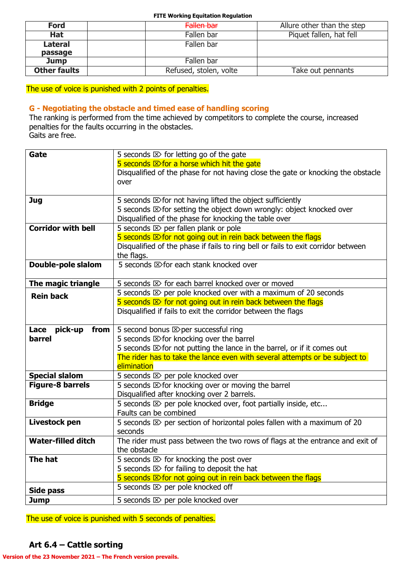| <b>Ford</b>         | Fallen bar             | Allure other than the step |
|---------------------|------------------------|----------------------------|
| <b>Hat</b>          | Fallen bar             | Piquet fallen, hat fell    |
| <b>Lateral</b>      | Fallen bar             |                            |
| passage             |                        |                            |
| <b>Jump</b>         | Fallen bar             |                            |
| <b>Other faults</b> | Refused, stolen, volte | Take out pennants          |

The use of voice is punished with 2 points of penalties.

#### **G - Negotiating the obstacle and timed ease of handling scoring**

The ranking is performed from the time achieved by competitors to complete the course, increased penalties for the faults occurring in the obstacles. Gaits are free.

| Gate                      | 5 seconds $\otimes$ for letting go of the gate                                     |
|---------------------------|------------------------------------------------------------------------------------|
|                           | 5 seconds $\mathbb{Z}$ for a horse which hit the gate                              |
|                           | Disqualified of the phase for not having close the gate or knocking the obstacle   |
|                           | over                                                                               |
|                           |                                                                                    |
| <b>Jug</b>                | 5 seconds $\otimes$ for not having lifted the object sufficiently                  |
|                           | 5 seconds E>for setting the object down wrongly: object knocked over               |
|                           | Disqualified of the phase for knocking the table over                              |
| <b>Corridor with bell</b> | 5 seconds $\otimes$ per fallen plank or pole                                       |
|                           | 5 seconds E>for not going out in rein back between the flags                       |
|                           | Disqualified of the phase if fails to ring bell or fails to exit corridor between  |
|                           | the flags.                                                                         |
| Double-pole slalom        | 5 seconds $\boxtimes$ for each stank knocked over                                  |
|                           |                                                                                    |
| The magic triangle        | 5 seconds $\otimes$ for each barrel knocked over or moved                          |
| <b>Rein back</b>          | 5 seconds $\mathbb{Z}$ per pole knocked over with a maximum of 20 seconds          |
|                           | 5 seconds $\mathbb{Z}$ for not going out in rein back between the flags            |
|                           | Disqualified if fails to exit the corridor between the flags                       |
|                           |                                                                                    |
| pick-up<br>Lace<br>from   | 5 second bonus E>per successful ring                                               |
| <b>barrel</b>             | 5 seconds $\mathbb{Z}$ for knocking over the barrel                                |
|                           | 5 seconds $\mathbb{Z}$ for not putting the lance in the barrel, or if it comes out |
|                           | The rider has to take the lance even with several attempts or be subject to        |
|                           | elimination                                                                        |
| <b>Special slalom</b>     | 5 seconds $\boxtimes$ per pole knocked over                                        |
| <b>Figure-8 barrels</b>   | 5 seconds $\boxtimes$ for knocking over or moving the barrel                       |
|                           | Disqualified after knocking over 2 barrels.                                        |
| <b>Bridge</b>             | 5 seconds $\boxtimes$ per pole knocked over, foot partially inside, etc            |
|                           | Faults can be combined                                                             |
| Livestock pen             | 5 seconds $\otimes$ per section of horizontal poles fallen with a maximum of 20    |
|                           | seconds                                                                            |
| <b>Water-filled ditch</b> | The rider must pass between the two rows of flags at the entrance and exit of      |
|                           | the obstacle                                                                       |
| The hat                   | 5 seconds $\mathbb{Z}$ for knocking the post over                                  |
|                           | 5 seconds $\mathbb{Z}$ for failing to deposit the hat                              |
|                           | 5 seconds $\mathbb{Z}$ for not going out in rein back between the flags            |
| <b>Side pass</b>          | 5 seconds $\boxtimes$ per pole knocked off                                         |
| <b>Jump</b>               | 5 seconds $\boxtimes$ per pole knocked over                                        |

The use of voice is punished with 5 seconds of penalties.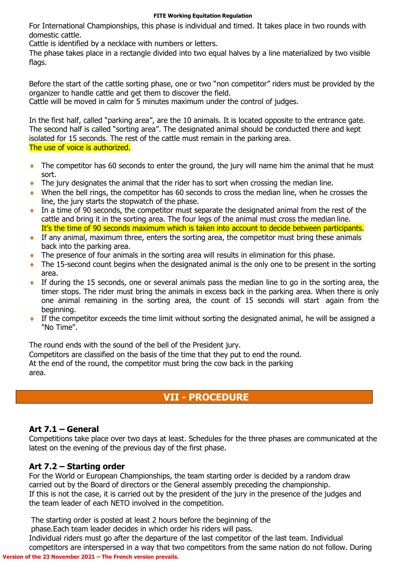For International Championships, this phase is individual and timed. It takes place in two rounds with domestic cattle.

Cattle is identified by a necklace with numbers or letters.

The phase takes place in a rectangle divided into two equal halves by a line materialized by two visible flags.

Before the start of the cattle sorting phase, one or two "non competitor" riders must be provided by the organizer to handle cattle and get them to discover the field.

Cattle will be moved in calm for 5 minutes maximum under the control of judges.

In the first half, called "parking area", are the 10 animals. It is located opposite to the entrance gate. The second half is called "sorting area". The designated animal should be conducted there and kept isolated for 15 seconds. The rest of the cattle must remain in the parking area. The use of voice is authorized.

- The competitor has 60 seconds to enter the ground, the jury will name him the animal that he must sort.
- The jury designates the animal that the rider has to sort when crossing the median line.
- When the bell rings, the competitor has 60 seconds to cross the median line, when he crosses the line, the jury starts the stopwatch of the phase.
- In a time of 90 seconds, the competitor must separate the designated animal from the rest of the cattle and bring it in the sorting area. The four legs of the animal must cross the median line. It's the time of 90 seconds maximum which is taken into account to decide between participants.
- If any animal, maximum three, enters the sorting area, the competitor must bring these animals back into the parking area.
- The presence of four animals in the sorting area will results in elimination for this phase.
- The 15-second count begins when the designated animal is the only one to be present in the sorting area.
- If during the 15 seconds, one or several animals pass the median line to go in the sorting area, the timer stops. The rider must bring the animals in excess back in the parking area. When there is only one animal remaining in the sorting area, the count of 15 seconds will start again from the beginning.
- If the competitor exceeds the time limit without sorting the designated animal, he will be assigned a "No Time".

The round ends with the sound of the bell of the President jury.

Competitors are classified on the basis of the time that they put to end the round. At the end of the round, the competitor must bring the cow back in the parking area.

### **VII - PROCEDURE**

#### **Art 7.1 – General**

Competitions take place over two days at least. Schedules for the three phases are communicated at the latest on the evening of the previous day of the first phase.

#### **Art 7.2 – Starting order**

For the World or European Championships, the team starting order is decided by a random draw carried out by the Board of directors or the General assembly preceding the championship. If this is not the case, it is carried out by the president of the jury in the presence of the judges and the team leader of each NETO involved in the competition.

The starting order is posted at least 2 hours before the beginning of the phase.Each team leader decides in which order his riders will pass. Individual riders must go after the departure of the last competitor of the last team. Individual

**Version of the 23 November 2021 – The French version prevails.** competitors are interspersed in a way that two competitors from the same nation do not follow. During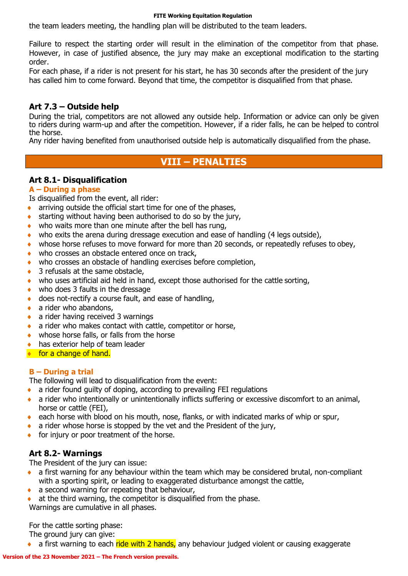the team leaders meeting, the handling plan will be distributed to the team leaders.

Failure to respect the starting order will result in the elimination of the competitor from that phase. However, in case of justified absence, the jury may make an exceptional modification to the starting order.

For each phase, if a rider is not present for his start, he has 30 seconds after the president of the jury has called him to come forward. Beyond that time, the competitor is disqualified from that phase.

#### **Art 7.3 – Outside help**

During the trial, competitors are not allowed any outside help. Information or advice can only be given to riders during warm-up and after the competition. However, if a rider falls, he can be helped to control the horse.

Any rider having benefited from unauthorised outside help is automatically disqualified from the phase.

### **VIII – PENALTIES**

#### **Art 8.1- Disqualification**

#### **A – During a phase**

Is disqualified from the event, all rider:

- **arriving outside the official start time for one of the phases,**
- $\bullet$  starting without having been authorised to do so by the jury,
- who waits more than one minute after the bell has rung,
- who exits the arena during dressage execution and ease of handling (4 legs outside),
- whose horse refuses to move forward for more than 20 seconds, or repeatedly refuses to obey,
- who crosses an obstacle entered once on track,
- who crosses an obstacle of handling exercises before completion,
- ◆ 3 refusals at the same obstacle,
- who uses artificial aid held in hand, except those authorised for the cattle sorting,
- who does 3 faults in the dressage
- ◆ does not-rectify a course fault, and ease of handling,
- $\bullet$  a rider who abandons,
- ◆ a rider having received 3 warnings
- a rider who makes contact with cattle, competitor or horse,
- whose horse falls, or falls from the horse
- has exterior help of team leader
- **for a change of hand.**

#### **B – During a trial**

The following will lead to disqualification from the event:

- a rider found guilty of doping, according to prevailing FEI regulations
- a rider who intentionally or unintentionally inflicts suffering or excessive discomfort to an animal, horse or cattle (FEI),
- each horse with blood on his mouth, nose, flanks, or with indicated marks of whip or spur,
- $\bullet$  a rider whose horse is stopped by the vet and the President of the jury,
- $\bullet$  for injury or poor treatment of the horse.

### **Art 8.2- Warnings**

The President of the jury can issue:

- a first warning for any behaviour within the team which may be considered brutal, non-compliant with a sporting spirit, or leading to exaggerated disturbance amongst the cattle,
- $\bullet$  a second warning for repeating that behaviour,
- at the third warning, the competitor is disqualified from the phase. Warnings are cumulative in all phases.

For the cattle sorting phase:

The ground jury can give:

 $\bullet$  a first warning to each ride with 2 hands, any behaviour judged violent or causing exaggerate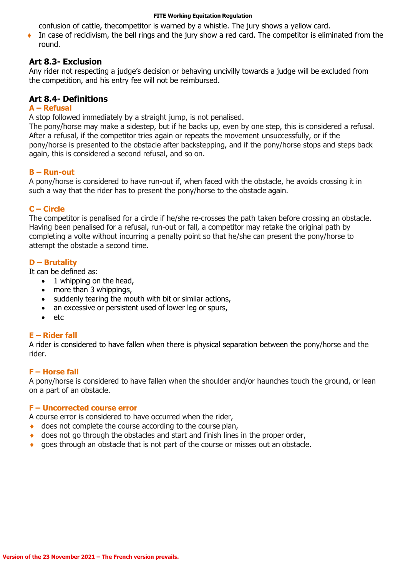confusion of cattle, thecompetitor is warned by a whistle. The jury shows a yellow card.

In case of recidivism, the bell rings and the jury show a red card. The competitor is eliminated from the round.

#### **Art 8.3- Exclusion**

Any rider not respecting a judge's decision or behaving uncivilly towards a judge will be excluded from the competition, and his entry fee will not be reimbursed.

#### **Art 8.4- Definitions**

#### **A – Refusal**

A stop followed immediately by a straight jump, is not penalised.

The pony/horse may make a sidestep, but if he backs up, even by one step, this is considered a refusal. After a refusal, if the competitor tries again or repeats the movement unsuccessfully, or if the pony/horse is presented to the obstacle after backstepping, and if the pony/horse stops and steps back again, this is considered a second refusal, and so on.

#### **B – Run-out**

A pony/horse is considered to have run-out if, when faced with the obstacle, he avoids crossing it in such a way that the rider has to present the pony/horse to the obstacle again.

#### **C – Circle**

The competitor is penalised for a circle if he/she re-crosses the path taken before crossing an obstacle. Having been penalised for a refusal, run-out or fall, a competitor may retake the original path by completing a volte without incurring a penalty point so that he/she can present the pony/horse to attempt the obstacle a second time.

#### **D – Brutality**

It can be defined as:

- $\bullet$  1 whipping on the head,
- more than 3 whippings,
- suddenly tearing the mouth with bit or similar actions,
- an excessive or persistent used of lower leg or spurs,
- $e$  etc.

#### **E – Rider fall**

A rider is considered to have fallen when there is physical separation between the pony/horse and the rider.

#### **F – Horse fall**

A pony/horse is considered to have fallen when the shoulder and/or haunches touch the ground, or lean on a part of an obstacle.

#### **F – Uncorrected course error**

A course error is considered to have occurred when the rider,

- ◆ does not complete the course according to the course plan,
- does not go through the obstacles and start and finish lines in the proper order,
- goes through an obstacle that is not part of the course or misses out an obstacle.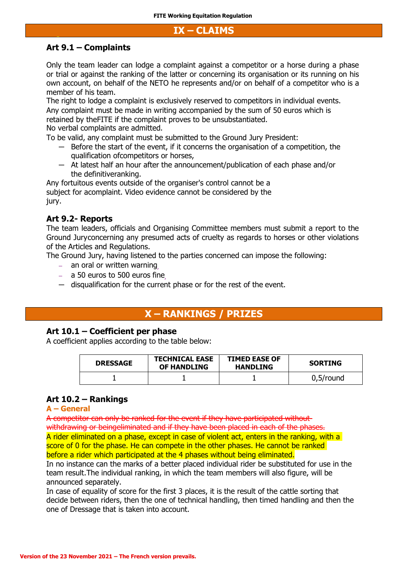#### **IX – CLAIMS**

#### **Art 9.1 – Complaints**

Only the team leader can lodge a complaint against a competitor or a horse during a phase or trial or against the ranking of the latter or concerning its organisation or its running on his own account, on behalf of the NETO he represents and/or on behalf of a competitor who is a member of his team.

The right to lodge a complaint is exclusively reserved to competitors in individual events. Any complaint must be made in writing accompanied by the sum of 50 euros which is

retained by theFITE if the complaint proves to be unsubstantiated.

No verbal complaints are admitted.

To be valid, any complaint must be submitted to the Ground Jury President:

- Before the start of the event, if it concerns the organisation of a competition, the qualification ofcompetitors or horses,
- At latest half an hour after the announcement/publication of each phase and/or the definitiveranking.

Any fortuitous events outside of the organiser's control cannot be a subject for acomplaint. Video evidence cannot be considered by the jury.

#### **Art 9.2- Reports**

The team leaders, officials and Organising Committee members must submit a report to the Ground Juryconcerning any presumed acts of cruelty as regards to horses or other violations of the Articles and Regulations.

The Ground Jury, having listened to the parties concerned can impose the following:

- an oral or written warning,
- $-$  a 50 euros to 500 euros fine
- disqualification for the current phase or for the rest of the event.

### **X – RANKINGS / PRIZES**

#### **Art 10.1 – Coefficient per phase**

A coefficient applies according to the table below:

| <b>DRESSAGE</b> | <b>TECHNICAL EASE</b><br>OF HANDLING | <b>TIMED EASE OF</b><br><b>HANDLING</b> | <b>SORTING</b> |
|-----------------|--------------------------------------|-----------------------------------------|----------------|
|                 |                                      |                                         | $0.5$ /round   |

#### **Art 10.2 – Rankings**

#### **A – General**

A competitor can only be ranked for the event if they have participated without

withdrawing or beingeliminated and if they have been placed in each of the phases. A rider eliminated on a phase, except in case of violent act, enters in the ranking, with a score of 0 for the phase. He can compete in the other phases. He cannot be ranked before a rider which participated at the 4 phases without being eliminated.

In no instance can the marks of a better placed individual rider be substituted for use in the team result.The individual ranking, in which the team members will also figure, will be announced separately.

In case of equality of score for the first 3 places, it is the result of the cattle sorting that decide between riders, then the one of technical handling, then timed handling and then the one of Dressage that is taken into account.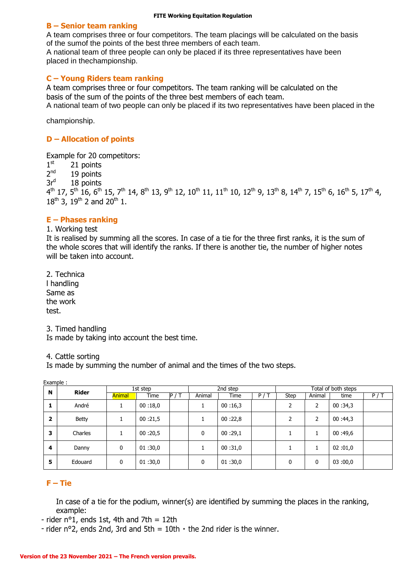#### **B – Senior team ranking**

A team comprises three or four competitors. The team placings will be calculated on the basis of the sumof the points of the best three members of each team.

A national team of three people can only be placed if its three representatives have been placed in thechampionship.

#### **C – Young Riders team ranking**

A team comprises three or four competitors. The team ranking will be calculated on the basis of the sum of the points of the three best members of each team.

A national team of two people can only be placed if its two representatives have been placed in the

championship.

#### **D – Allocation of points**

Example for 20 competitors:

 $1^{\text{st}}$ 21 points

 $2<sup>nd</sup>$ 19 points

3r<sup>d</sup> 18 points

 $4^{\text{th}}$  17, 5 $^{\text{th}}$  16, 6 $^{\text{th}}$  15, 7 $^{\text{th}}$  14, 8 $^{\text{th}}$  13, 9 $^{\text{th}}$  12, 10 $^{\text{th}}$  11, 11 $^{\text{th}}$  10, 12 $^{\text{th}}$  9, 13 $^{\text{th}}$  8, 14 $^{\text{th}}$  7, 15 $^{\text{th}}$  6, 16 $^{\text{th}}$  5, 17 $^{\text{th}}$  4,  $18^{th}$  3,  $19^{th}$  2 and  $20^{th}$  1.

#### **E – Phases ranking**

1. Working test

It is realised by summing all the scores. In case of a tie for the three first ranks, it is the sum of the whole scores that will identify the ranks. If there is another tie, the number of higher notes will be taken into account.

2. Technica l handling Same as the work test.

3. Timed handling

Is made by taking into account the best time.

#### 4. Cattle sorting

Is made by summing the number of animal and the times of the two steps.

|   | Example:     |               |          |                   |        |          |     |             |                     |         |     |
|---|--------------|---------------|----------|-------------------|--------|----------|-----|-------------|---------------------|---------|-----|
| N | <b>Rider</b> |               | 1st step |                   |        | 2nd step |     |             | Total of both steps |         |     |
|   |              | <b>Animal</b> | Time     | $\overline{P}$ /T | Animal | Time     | P/T | <b>Step</b> | Animal              | time    | P/T |
| ı | André        |               | 00:18,0  |                   |        | 00:16,3  |     | າ           | 2                   | 00:34,3 |     |
| 2 | <b>Betty</b> |               | 00:21,5  |                   |        | 00:22,8  |     | 2           | 2                   | 00:44,3 |     |
| 3 | Charles      |               | 00:20,5  |                   | 0      | 00:29,1  |     |             |                     | 00:49,6 |     |
| 4 | Danny        | 0             | 01:30,0  |                   |        | 00:31,0  |     |             |                     | 02:01,0 |     |
| 5 | Edouard      | 0             | 01:30,0  |                   | 0      | 01:30,0  |     | 0           | 0                   | 03:00,0 |     |

#### **F – Tie**

In case of a tie for the podium, winner(s) are identified by summing the places in the ranking, example:

- rider  $n^{\circ}1$ , ends 1st, 4th and 7th = 12th

- rider  $n^{\circ}2$ , ends 2nd, 3rd and 5th = 10th  $\cdot$  the 2nd rider is the winner.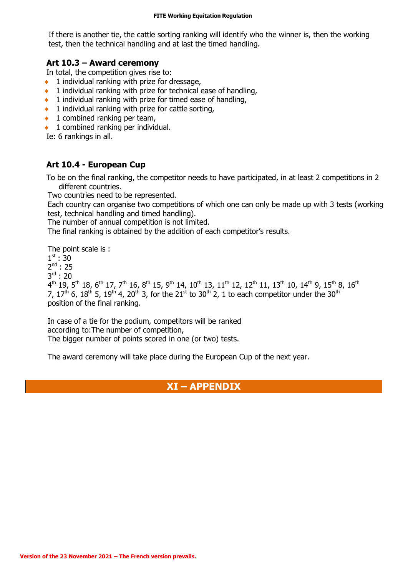If there is another tie, the cattle sorting ranking will identify who the winner is, then the working test, then the technical handling and at last the timed handling.

#### **Art 10.3 – Award ceremony**

In total, the competition gives rise to:

- $\bullet$  1 individual ranking with prize for dressage,
- $\bullet$  1 individual ranking with prize for technical ease of handling,
- $\bullet$  1 individual ranking with prize for timed ease of handling,
- $\bullet$  1 individual ranking with prize for cattle sorting,
- $\bullet$  1 combined ranking per team,
- $\bullet$  1 combined ranking per individual.

Ie: 6 rankings in all.

### **Art 10.4 - European Cup**

To be on the final ranking, the competitor needs to have participated, in at least 2 competitions in 2 different countries.

Two countries need to be represented.

Each country can organise two competitions of which one can only be made up with 3 tests (working test, technical handling and timed handling).

The number of annual competition is not limited.

The final ranking is obtained by the addition of each competitor's results.

The point scale is :

 $1^{\text{st}}$  : 30

 $2^{nd}$  : 25

3 rd : 20

 $4^{\text{th}}$  19, 5 $^{\text{th}}$  18, 6 $^{\text{th}}$  17, 7 $^{\text{th}}$  16, 8 $^{\text{th}}$  15, 9 $^{\text{th}}$  14, 10 $^{\text{th}}$  13, 11 $^{\text{th}}$  12, 12 $^{\text{th}}$  11, 13 $^{\text{th}}$  10, 14 $^{\text{th}}$  9, 15 $^{\text{th}}$  8, 16 $^{\text{th}}$ 7, 17<sup>th</sup> 6, 18<sup>th</sup> 5, 19<sup>th</sup> 4, 20<sup>th</sup> 3, for the 21<sup>st</sup> to 30<sup>th</sup> 2, 1 to each competitor under the 30<sup>th</sup> position of the final ranking.

In case of a tie for the podium, competitors will be ranked according to:The number of competition, The bigger number of points scored in one (or two) tests.

The award ceremony will take place during the European Cup of the next year.

### **XI – APPENDIX**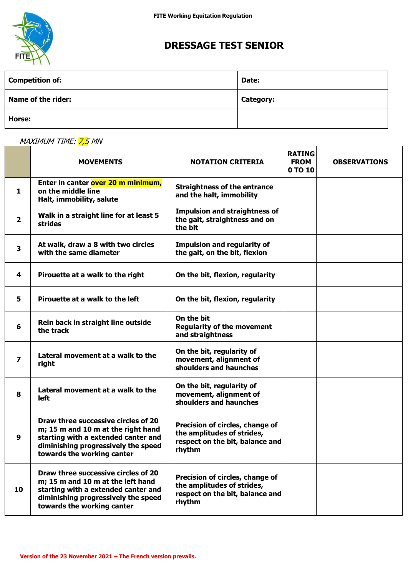

## **DRESSAGE TEST SENIOR**

| <b>Competition of:</b>    | Date:            |
|---------------------------|------------------|
| <b>Name of the rider:</b> | <b>Category:</b> |
| Horse:                    |                  |

| MAXIMUM TIME: <mark>7,5</mark> MN |  |  |
|-----------------------------------|--|--|
|                                   |  |  |

|                         | <b>MOVEMENTS</b>                                                                                                                                                                      | <b>NOTATION CRITERIA</b>                                                                                   | <b>RATING</b><br><b>FROM</b><br>0 TO 10 | <b>OBSERVATIONS</b> |
|-------------------------|---------------------------------------------------------------------------------------------------------------------------------------------------------------------------------------|------------------------------------------------------------------------------------------------------------|-----------------------------------------|---------------------|
| $\mathbf{1}$            | Enter in canter over 20 m minimum,<br>on the middle line<br>Halt, immobility, salute                                                                                                  | <b>Straightness of the entrance</b><br>and the halt, immobility                                            |                                         |                     |
| $\overline{\mathbf{2}}$ | Walk in a straight line for at least 5<br><b>strides</b>                                                                                                                              | <b>Impulsion and straightness of</b><br>the gait, straightness and on<br>the bit                           |                                         |                     |
| $\overline{\mathbf{3}}$ | At walk, draw a 8 with two circles<br>with the same diameter                                                                                                                          | <b>Impulsion and regularity of</b><br>the gait, on the bit, flexion                                        |                                         |                     |
| 4                       | Pirouette at a walk to the right                                                                                                                                                      | On the bit, flexion, regularity                                                                            |                                         |                     |
| 5                       | Pirouette at a walk to the left                                                                                                                                                       | On the bit, flexion, regularity                                                                            |                                         |                     |
| 6                       | Rein back in straight line outside<br>the track                                                                                                                                       | On the bit<br><b>Regularity of the movement</b><br>and straightness                                        |                                         |                     |
| $\overline{\mathbf{z}}$ | Lateral movement at a walk to the<br>right                                                                                                                                            | On the bit, regularity of<br>movement, alignment of<br>shoulders and haunches                              |                                         |                     |
| 8                       | Lateral movement at a walk to the<br><b>left</b>                                                                                                                                      | On the bit, regularity of<br>movement, alignment of<br>shoulders and haunches                              |                                         |                     |
| 9                       | Draw three successive circles of 20<br>m; 15 m and 10 m at the right hand<br>starting with a extended canter and<br>diminishing progressively the speed<br>towards the working canter | Precision of circles, change of<br>the amplitudes of strides,<br>respect on the bit, balance and<br>rhythm |                                         |                     |
| 10                      | Draw three successive circles of 20<br>m; 15 m and 10 m at the left hand<br>starting with a extended canter and<br>diminishing progressively the speed<br>towards the working canter  | Precision of circles, change of<br>the amplitudes of strides,<br>respect on the bit, balance and<br>rhythm |                                         |                     |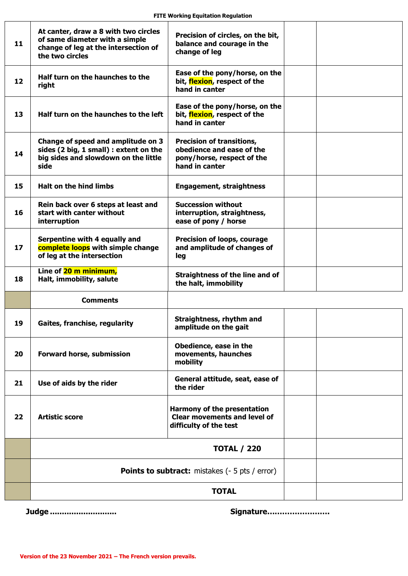| 11 | At canter, draw a 8 with two circles<br>of same diameter with a simple<br>change of leg at the intersection of<br>the two circles | Precision of circles, on the bit,<br>balance and courage in the<br>change of leg                              |  |  |  |
|----|-----------------------------------------------------------------------------------------------------------------------------------|---------------------------------------------------------------------------------------------------------------|--|--|--|
| 12 | Half turn on the haunches to the<br>right                                                                                         | Ease of the pony/horse, on the<br>bit, flexion, respect of the<br>hand in canter                              |  |  |  |
| 13 | Half turn on the haunches to the left                                                                                             | Ease of the pony/horse, on the<br>bit, flexion, respect of the<br>hand in canter                              |  |  |  |
| 14 | Change of speed and amplitude on 3<br>sides (2 big, 1 small) : extent on the<br>big sides and slowdown on the little<br>side      | <b>Precision of transitions,</b><br>obedience and ease of the<br>pony/horse, respect of the<br>hand in canter |  |  |  |
| 15 | <b>Halt on the hind limbs</b>                                                                                                     | <b>Engagement, straightness</b>                                                                               |  |  |  |
| 16 | Rein back over 6 steps at least and<br>start with canter without<br>interruption                                                  | <b>Succession without</b><br>interruption, straightness,<br>ease of pony / horse                              |  |  |  |
| 17 | Serpentine with 4 equally and<br>complete loops with simple change<br>of leg at the intersection                                  | Precision of loops, courage<br>and amplitude of changes of<br>leg                                             |  |  |  |
| 18 | Line of 20 m minimum,<br>Halt, immobility, salute                                                                                 | <b>Straightness of the line and of</b><br>the halt, immobility                                                |  |  |  |
|    | <b>Comments</b>                                                                                                                   |                                                                                                               |  |  |  |
| 19 | Gaites, franchise, regularity                                                                                                     | Straightness, rhythm and<br>amplitude on the gait                                                             |  |  |  |
| 20 | Forward horse, submission                                                                                                         | Obedience, ease in the<br>movements, haunches<br>mobility                                                     |  |  |  |
| 21 | Use of aids by the rider                                                                                                          | General attitude, seat, ease of<br>the rider                                                                  |  |  |  |
| 22 | <b>Artistic score</b>                                                                                                             | <b>Harmony of the presentation</b><br><b>Clear movements and level of</b><br>difficulty of the test           |  |  |  |
|    | <b>TOTAL / 220</b>                                                                                                                |                                                                                                               |  |  |  |
|    | <b>Points to subtract:</b> mistakes (- 5 pts / error)                                                                             |                                                                                                               |  |  |  |
|    | <b>TOTAL</b>                                                                                                                      |                                                                                                               |  |  |  |

 **Judge ............................ Signature…………………….**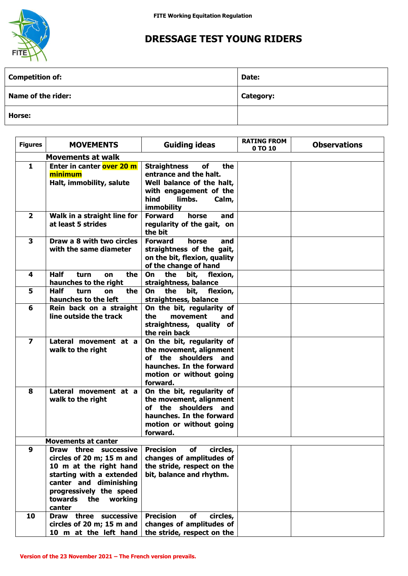

## **DRESSAGE TEST YOUNG RIDERS**

| <b>Competition of:</b>    | Date:            |
|---------------------------|------------------|
| <b>Name of the rider:</b> | <b>Category:</b> |
| Horse:                    |                  |

| <b>Figures</b>          | <b>MOVEMENTS</b>                                              | <b>Guiding ideas</b>                                           | <b>RATING FROM</b> | <b>Observations</b> |
|-------------------------|---------------------------------------------------------------|----------------------------------------------------------------|--------------------|---------------------|
|                         | <b>Movements at walk</b>                                      |                                                                | 0 TO 10            |                     |
| $\mathbf{1}$            | Enter in canter over 20 m                                     | <b>Straightness</b><br>of<br>the                               |                    |                     |
|                         | minimum                                                       | entrance and the halt.                                         |                    |                     |
|                         | Halt, immobility, salute                                      | Well balance of the halt,                                      |                    |                     |
|                         |                                                               | with engagement of the                                         |                    |                     |
|                         |                                                               | hind<br>limbs.<br>Calm,                                        |                    |                     |
|                         |                                                               | immobility                                                     |                    |                     |
| $\overline{\mathbf{2}}$ | Walk in a straight line for                                   | <b>Forward</b><br>horse<br>and                                 |                    |                     |
|                         | at least 5 strides                                            | regularity of the gait, on                                     |                    |                     |
|                         |                                                               | the bit                                                        |                    |                     |
| $\overline{\mathbf{3}}$ | Draw a 8 with two circles                                     | <b>Forward</b><br>horse<br>and                                 |                    |                     |
|                         | with the same diameter                                        | straightness of the gait,                                      |                    |                     |
|                         |                                                               | on the bit, flexion, quality<br>of the change of hand          |                    |                     |
| 4                       | <b>Half</b><br>turn<br>the<br>on                              | the<br><b>On</b><br>bit,<br>flexion,                           |                    |                     |
|                         | haunches to the right                                         | straightness, balance                                          |                    |                     |
| 5                       | <b>Half</b><br>the<br>turn<br>on                              | the<br>bit, flexion,<br><b>On</b>                              |                    |                     |
|                         | haunches to the left                                          | straightness, balance                                          |                    |                     |
| 6                       | Rein back on a straight                                       | On the bit, regularity of                                      |                    |                     |
|                         | line outside the track                                        | the<br>movement<br>and                                         |                    |                     |
|                         |                                                               | straightness, quality of                                       |                    |                     |
|                         |                                                               | the rein back                                                  |                    |                     |
| $\overline{\mathbf{z}}$ | Lateral movement at a                                         | On the bit, regularity of                                      |                    |                     |
|                         | walk to the right                                             | the movement, alignment<br>of the shoulders and                |                    |                     |
|                         |                                                               | haunches. In the forward                                       |                    |                     |
|                         |                                                               | motion or without going                                        |                    |                     |
|                         |                                                               | forward.                                                       |                    |                     |
| 8                       | Lateral movement at a                                         | On the bit, regularity of                                      |                    |                     |
|                         | walk to the right                                             | the movement, alignment                                        |                    |                     |
|                         |                                                               | of the shoulders and                                           |                    |                     |
|                         |                                                               | haunches. In the forward                                       |                    |                     |
|                         |                                                               | motion or without going                                        |                    |                     |
|                         |                                                               | forward.                                                       |                    |                     |
| $\boldsymbol{9}$        | <b>Movements at canter</b><br>three successive<br><b>Draw</b> | <b>Precision</b><br>circles,<br>of                             |                    |                     |
|                         | circles of 20 m; 15 m and                                     | changes of amplitudes of                                       |                    |                     |
|                         | 10 m at the right hand                                        | the stride, respect on the                                     |                    |                     |
|                         | starting with a extended                                      | bit, balance and rhythm.                                       |                    |                     |
|                         | canter and diminishing                                        |                                                                |                    |                     |
|                         | progressively the speed                                       |                                                                |                    |                     |
|                         | towards the<br>working                                        |                                                                |                    |                     |
|                         | canter                                                        |                                                                |                    |                     |
| 10                      | Draw three successive<br>circles of 20 m; 15 m and            | <b>Precision</b><br>circles,<br>of<br>changes of amplitudes of |                    |                     |
|                         | 10 m at the left hand                                         | the stride, respect on the                                     |                    |                     |
|                         |                                                               |                                                                |                    |                     |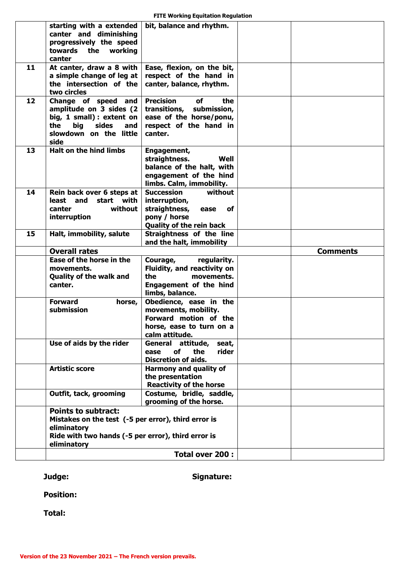| <b>FITE Working Equitation Regulation</b> |  |  |
|-------------------------------------------|--|--|
|-------------------------------------------|--|--|

|    | starting with a extended<br>canter and diminishing<br>progressively the speed<br>towards<br>the working<br>canter                                                     | bit, balance and rhythm.                                                                                                                 |  |                 |
|----|-----------------------------------------------------------------------------------------------------------------------------------------------------------------------|------------------------------------------------------------------------------------------------------------------------------------------|--|-----------------|
| 11 | At canter, draw a 8 with<br>a simple change of leg at<br>the intersection of the<br>two circles                                                                       | Ease, flexion, on the bit,<br>respect of the hand in<br>canter, balance, rhythm.                                                         |  |                 |
| 12 | Change of speed and<br>amplitude on 3 sides (2<br>big, 1 small) : extent on<br>sides<br>the<br>big<br>and<br>slowdown on the little<br>side                           | <b>Precision</b><br><b>of</b><br>the<br>transitions, submission,<br>ease of the horse/ponu,<br>respect of the hand in<br>canter.         |  |                 |
| 13 | <b>Halt on the hind limbs</b>                                                                                                                                         | Engagement,<br>straightness.<br>Well<br>balance of the halt, with<br>engagement of the hind<br>limbs. Calm, immobility.                  |  |                 |
| 14 | Rein back over 6 steps at<br>start with<br>least and<br>without<br>canter<br>interruption                                                                             | <b>Succession</b><br>without<br>interruption,<br>straightness,<br>ease<br>оf<br>pony / horse<br><b>Quality of the rein back</b>          |  |                 |
| 15 | Halt, immobility, salute                                                                                                                                              | Straightness of the line<br>and the halt, immobility                                                                                     |  |                 |
|    | <b>Overall rates</b>                                                                                                                                                  |                                                                                                                                          |  | <b>Comments</b> |
|    |                                                                                                                                                                       |                                                                                                                                          |  |                 |
|    | Ease of the horse in the<br>movements.<br><b>Quality of the walk and</b><br>canter.                                                                                   | Courage,<br>regularity.<br>Fluidity, and reactivity on<br>the<br>movements.<br>Engagement of the hind                                    |  |                 |
|    | <b>Forward</b><br>horse,<br>submission                                                                                                                                | limbs, balance.<br>Obedience, ease in the<br>movements, mobility.<br>Forward motion of the<br>horse, ease to turn on a<br>calm attitude. |  |                 |
|    | Use of aids by the rider                                                                                                                                              | General<br>attitude,<br>seat,<br>rider<br>the<br><b>of</b><br>ease<br><b>Discretion of aids.</b>                                         |  |                 |
|    | <b>Artistic score</b>                                                                                                                                                 | Harmony and quality of<br>the presentation<br><b>Reactivity of the horse</b>                                                             |  |                 |
|    | Outfit, tack, grooming                                                                                                                                                | Costume, bridle, saddle,<br>grooming of the horse.                                                                                       |  |                 |
|    | <b>Points to subtract:</b><br>Mistakes on the test (-5 per error), third error is<br>eliminatory<br>Ride with two hands (-5 per error), third error is<br>eliminatory |                                                                                                                                          |  |                 |

 **Judge: Signature:**

 **Position:**

 **Total:**